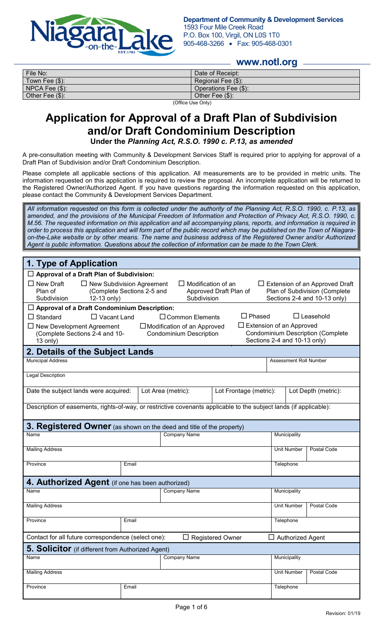

#### **www.notl.org**

| File No:                                         | Date of Receipt:     |  |  |
|--------------------------------------------------|----------------------|--|--|
| Town Fee (\$):                                   | Regional Fee (\$):   |  |  |
| $NPCA$ Fee $(\$)$ :                              | Operations Fee (\$): |  |  |
| Other Fee $(\$)$ :                               | Other Fee (\$):      |  |  |
| $\sqrt{\Delta}ee$ . $\sqrt{\Delta}$ . $\Delta$ . |                      |  |  |

(Office Use Only)

## **Application for Approval of a Draft Plan of Subdivision and/or Draft Condominium Description Under the** *Planning Act, R.S.O. 1990 c. P.13, as amended*

A pre-consultation meeting with Community & Development Services Staff is required prior to applying for approval of a Draft Plan of Subdivision and/or Draft Condominium Description.

Please complete all applicable sections of this application. All measurements are to be provided in metric units. The information requested on this application is required to review the proposal. An incomplete application will be returned to the Registered Owner/Authorized Agent. If you have questions regarding the information requested on this application, please contact the Community & Development Services Department.

*All information requested on this form is collected under the authority of the Planning Act, R.S.O. 1990, c. P.13, as amended, and the provisions of the Municipal Freedom of Information and Protection of Privacy Act, R.S.O. 1990, c. M.56. The requested information on this application and all accompanying plans, reports, and information is required in order to process this application and will form part of the public record which may be published on the Town of Niagaraon-the-Lake website or by other means. The name and business address of the Registered Owner and/or Authorized Agent is public information. Questions about the collection of information can be made to the Town Clerk.*

| 1. Type of Application                                                                                                                                                                                                                                                                                      |       |                                    |                        |                                 |                                          |
|-------------------------------------------------------------------------------------------------------------------------------------------------------------------------------------------------------------------------------------------------------------------------------------------------------------|-------|------------------------------------|------------------------|---------------------------------|------------------------------------------|
| $\Box$ Approval of a Draft Plan of Subdivision:                                                                                                                                                                                                                                                             |       |                                    |                        |                                 |                                          |
| $\Box$ New Draft<br>$\Box$ New Subdivision Agreement<br>$\Box$ Modification of an<br>$\Box$ Extension of an Approved Draft<br>(Complete Sections 2-5 and<br>Approved Draft Plan of<br>Plan of Subdivision (Complete<br>Plan of<br>12-13 only)<br>Subdivision<br>Sections 2-4 and 10-13 only)<br>Subdivision |       |                                    |                        |                                 |                                          |
| $\Box$ Approval of a Draft Condominium Description:                                                                                                                                                                                                                                                         |       |                                    |                        |                                 |                                          |
| $\Box$ Standard<br>$\Box$ Vacant Land                                                                                                                                                                                                                                                                       |       | $\Box$ Common Elements             | $\Box$ Phased          |                                 | $\Box$ Leasehold                         |
| $\Box$ New Development Agreement                                                                                                                                                                                                                                                                            |       | $\Box$ Modification of an Approved |                        | $\Box$ Extension of an Approved |                                          |
| (Complete Sections 2-4 and 10-<br>13 only)                                                                                                                                                                                                                                                                  |       | <b>Condominium Description</b>     |                        | Sections 2-4 and 10-13 only)    | <b>Condominium Description (Complete</b> |
| 2. Details of the Subject Lands                                                                                                                                                                                                                                                                             |       |                                    |                        |                                 |                                          |
| <b>Municipal Address</b>                                                                                                                                                                                                                                                                                    |       |                                    |                        | Assessment Roll Number          |                                          |
| <b>Legal Description</b>                                                                                                                                                                                                                                                                                    |       |                                    |                        |                                 |                                          |
| Date the subject lands were acquired:                                                                                                                                                                                                                                                                       |       | Lot Area (metric):                 | Lot Frontage (metric): |                                 | Lot Depth (metric):                      |
| Description of easements, rights-of-way, or restrictive covenants applicable to the subject lands (if applicable):                                                                                                                                                                                          |       |                                    |                        |                                 |                                          |
| 3. Registered Owner (as shown on the deed and title of the property)                                                                                                                                                                                                                                        |       |                                    |                        |                                 |                                          |
| Name                                                                                                                                                                                                                                                                                                        |       | <b>Company Name</b>                |                        | Municipality                    |                                          |
| <b>Mailing Address</b>                                                                                                                                                                                                                                                                                      |       |                                    | <b>Unit Number</b>     | Postal Code                     |                                          |
| Province                                                                                                                                                                                                                                                                                                    | Email |                                    | Telephone              |                                 |                                          |
| 4. Authorized Agent (if one has been authorized)                                                                                                                                                                                                                                                            |       |                                    |                        |                                 |                                          |
| Name                                                                                                                                                                                                                                                                                                        |       | <b>Company Name</b>                |                        | Municipality                    |                                          |
| <b>Mailing Address</b>                                                                                                                                                                                                                                                                                      |       |                                    |                        | <b>Unit Number</b>              | Postal Code                              |
| Province                                                                                                                                                                                                                                                                                                    | Email |                                    | Telephone              |                                 |                                          |
| Contact for all future correspondence (select one):<br><b>Registered Owner</b><br><b>Authorized Agent</b>                                                                                                                                                                                                   |       |                                    |                        |                                 |                                          |
| 5. Solicitor (if different from Authorized Agent)                                                                                                                                                                                                                                                           |       |                                    |                        |                                 |                                          |
| Name                                                                                                                                                                                                                                                                                                        |       | <b>Company Name</b>                |                        | Municipality                    |                                          |
| <b>Mailing Address</b>                                                                                                                                                                                                                                                                                      |       |                                    |                        | <b>Unit Number</b>              | Postal Code                              |
| Province                                                                                                                                                                                                                                                                                                    | Email |                                    |                        | Telephone                       |                                          |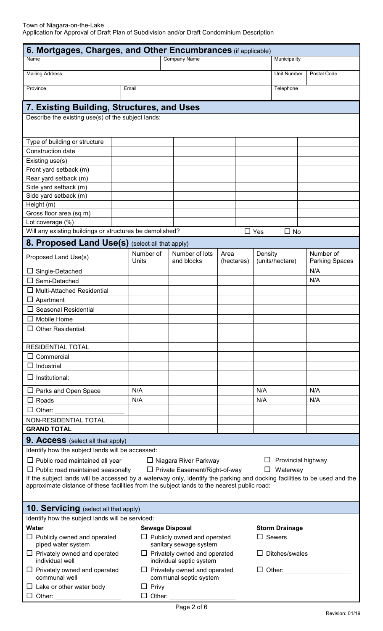| 6. Mortgages, Charges, and Other Encumbrances (if applicable)                                                            |                                                              |                                                                                          |                                        |                            |                                    |
|--------------------------------------------------------------------------------------------------------------------------|--------------------------------------------------------------|------------------------------------------------------------------------------------------|----------------------------------------|----------------------------|------------------------------------|
| <b>Company Name</b><br>Name                                                                                              |                                                              |                                                                                          | Municipality                           |                            |                                    |
| <b>Mailing Address</b>                                                                                                   |                                                              |                                                                                          | <b>Unit Number</b>                     | Postal Code                |                                    |
| Province                                                                                                                 | Email                                                        |                                                                                          |                                        | Telephone                  |                                    |
|                                                                                                                          |                                                              |                                                                                          |                                        |                            |                                    |
| 7. Existing Building, Structures, and Uses                                                                               |                                                              |                                                                                          |                                        |                            |                                    |
| Describe the existing use(s) of the subject lands:                                                                       |                                                              |                                                                                          |                                        |                            |                                    |
|                                                                                                                          |                                                              |                                                                                          |                                        |                            |                                    |
| Type of building or structure                                                                                            |                                                              |                                                                                          |                                        |                            |                                    |
| Construction date                                                                                                        |                                                              |                                                                                          |                                        |                            |                                    |
| Existing use(s)                                                                                                          |                                                              |                                                                                          |                                        |                            |                                    |
| Front yard setback (m)                                                                                                   |                                                              |                                                                                          |                                        |                            |                                    |
| Rear yard setback (m)                                                                                                    |                                                              |                                                                                          |                                        |                            |                                    |
| Side yard setback (m)                                                                                                    |                                                              |                                                                                          |                                        |                            |                                    |
| Side yard setback (m)                                                                                                    |                                                              |                                                                                          |                                        |                            |                                    |
| Height (m)                                                                                                               |                                                              |                                                                                          |                                        |                            |                                    |
| Gross floor area (sq m)                                                                                                  |                                                              |                                                                                          |                                        |                            |                                    |
| Lot coverage (%)<br>Will any existing buildings or structures be demolished?                                             |                                                              |                                                                                          |                                        |                            |                                    |
|                                                                                                                          |                                                              |                                                                                          |                                        | $\Box$ Yes<br>$\Box$ No    |                                    |
| 8. Proposed Land Use(s) (select all that apply)                                                                          |                                                              |                                                                                          |                                        |                            |                                    |
| Proposed Land Use(s)                                                                                                     | Number of<br>Units                                           | Number of lots<br>and blocks                                                             | Area<br>(hectares)                     | Density<br>(units/hectare) | Number of<br><b>Parking Spaces</b> |
| $\Box$ Single-Detached                                                                                                   |                                                              |                                                                                          |                                        |                            | N/A                                |
| Semi-Detached                                                                                                            |                                                              |                                                                                          |                                        |                            | N/A                                |
| <b>Multi-Attached Residential</b><br>ப                                                                                   |                                                              |                                                                                          |                                        |                            |                                    |
| Apartment<br>⊔                                                                                                           |                                                              |                                                                                          |                                        |                            |                                    |
| <b>Seasonal Residential</b>                                                                                              |                                                              |                                                                                          |                                        |                            |                                    |
| $\square$ Mobile Home                                                                                                    |                                                              |                                                                                          |                                        |                            |                                    |
| $\Box$ Other Residential:                                                                                                |                                                              |                                                                                          |                                        |                            |                                    |
| <b>RESIDENTIAL TOTAL</b>                                                                                                 |                                                              |                                                                                          |                                        |                            |                                    |
| $\Box$ Commercial                                                                                                        |                                                              |                                                                                          |                                        |                            |                                    |
| $\Box$ Industrial                                                                                                        |                                                              |                                                                                          |                                        |                            |                                    |
| $\Box$ Institutional:                                                                                                    |                                                              |                                                                                          |                                        |                            |                                    |
| $\Box$ Parks and Open Space                                                                                              | N/A                                                          |                                                                                          |                                        | N/A                        | N/A                                |
| $\Box$ Roads                                                                                                             | N/A                                                          |                                                                                          |                                        | N/A                        | N/A                                |
| $\Box$ Other:                                                                                                            |                                                              |                                                                                          |                                        |                            |                                    |
| NON-RESIDENTIAL TOTAL                                                                                                    |                                                              |                                                                                          |                                        |                            |                                    |
| <b>GRAND TOTAL</b>                                                                                                       |                                                              |                                                                                          |                                        |                            |                                    |
| <b>9. Access</b> (select all that apply)                                                                                 |                                                              |                                                                                          |                                        |                            |                                    |
| Identify how the subject lands will be accessed:                                                                         |                                                              |                                                                                          |                                        |                            |                                    |
| $\Box$ Public road maintained all year                                                                                   |                                                              | □ Niagara River Parkway                                                                  |                                        |                            | Provincial highway                 |
| $\Box$ Public road maintained seasonally<br>$\Box$ Private Easement/Right-of-way<br>Waterway<br>ப                        |                                                              |                                                                                          |                                        |                            |                                    |
| If the subject lands will be accessed by a waterway only, identify the parking and docking facilities to be used and the |                                                              |                                                                                          |                                        |                            |                                    |
| approximate distance of these facilities from the subject lands to the nearest public road:                              |                                                              |                                                                                          |                                        |                            |                                    |
|                                                                                                                          |                                                              |                                                                                          |                                        |                            |                                    |
| <b>10. Servicing</b> (select all that apply)                                                                             |                                                              |                                                                                          |                                        |                            |                                    |
| Identify how the subject lands will be serviced:                                                                         |                                                              |                                                                                          |                                        |                            |                                    |
| Water<br>$\Box$ Publicly owned and operated                                                                              | <b>Sewage Disposal</b><br>$\Box$ Publicly owned and operated |                                                                                          | <b>Storm Drainage</b><br>$\Box$ Sewers |                            |                                    |
| piped water system<br>$\Box$ Privately owned and operated                                                                |                                                              | sanitary sewage system                                                                   |                                        |                            |                                    |
| individual well                                                                                                          |                                                              | $\Box$ Privately owned and operated<br>$\Box$ Ditches/swales<br>individual septic system |                                        |                            |                                    |
| $\Box$ Privately owned and operated<br>communal well                                                                     |                                                              | $\Box$ Privately owned and operated<br>communal septic system                            |                                        | $\Box$ Other:              |                                    |
| $\Box$ Lake or other water body                                                                                          | $\Box$ Privy                                                 |                                                                                          |                                        |                            |                                    |

Other: \_\_\_\_\_\_\_\_\_\_\_\_\_\_\_\_\_\_\_ Other: \_\_\_\_\_\_\_\_\_\_\_\_\_\_\_\_\_\_\_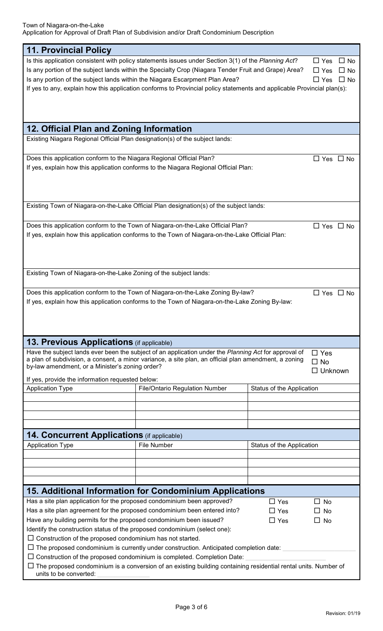| <b>11. Provincial Policy</b>                                                                  |                                                                                                                                                                                                                |                           |                         |
|-----------------------------------------------------------------------------------------------|----------------------------------------------------------------------------------------------------------------------------------------------------------------------------------------------------------------|---------------------------|-------------------------|
|                                                                                               | Is this application consistent with policy statements issues under Section 3(1) of the Planning Act?                                                                                                           |                           | $\Box$ Yes<br>$\Box$ No |
|                                                                                               | Is any portion of the subject lands within the Specialty Crop (Niagara Tender Fruit and Grape) Area?                                                                                                           |                           | $\Box$ Yes<br>$\Box$ No |
| Is any portion of the subject lands within the Niagara Escarpment Plan Area?                  | $\Box$ Yes<br>$\Box$ No                                                                                                                                                                                        |                           |                         |
|                                                                                               | If yes to any, explain how this application conforms to Provincial policy statements and applicable Provincial plan(s):                                                                                        |                           |                         |
|                                                                                               |                                                                                                                                                                                                                |                           |                         |
|                                                                                               |                                                                                                                                                                                                                |                           |                         |
|                                                                                               |                                                                                                                                                                                                                |                           |                         |
| 12. Official Plan and Zoning Information                                                      |                                                                                                                                                                                                                |                           |                         |
| Existing Niagara Regional Official Plan designation(s) of the subject lands:                  |                                                                                                                                                                                                                |                           |                         |
| Does this application conform to the Niagara Regional Official Plan?                          |                                                                                                                                                                                                                |                           | $\Box$ Yes $\Box$ No    |
|                                                                                               | If yes, explain how this application conforms to the Niagara Regional Official Plan:                                                                                                                           |                           |                         |
|                                                                                               |                                                                                                                                                                                                                |                           |                         |
|                                                                                               |                                                                                                                                                                                                                |                           |                         |
|                                                                                               |                                                                                                                                                                                                                |                           |                         |
|                                                                                               | Existing Town of Niagara-on-the-Lake Official Plan designation(s) of the subject lands:                                                                                                                        |                           |                         |
|                                                                                               | Does this application conform to the Town of Niagara-on-the-Lake Official Plan?                                                                                                                                |                           | $\Box$ Yes $\Box$ No    |
|                                                                                               | If yes, explain how this application conforms to the Town of Niagara-on-the-Lake Official Plan:                                                                                                                |                           |                         |
|                                                                                               |                                                                                                                                                                                                                |                           |                         |
|                                                                                               |                                                                                                                                                                                                                |                           |                         |
|                                                                                               |                                                                                                                                                                                                                |                           |                         |
| Existing Town of Niagara-on-the-Lake Zoning of the subject lands:                             |                                                                                                                                                                                                                |                           |                         |
|                                                                                               |                                                                                                                                                                                                                |                           |                         |
|                                                                                               | Does this application conform to the Town of Niagara-on-the-Lake Zoning By-law?                                                                                                                                |                           | $\Box$ Yes $\Box$ No    |
|                                                                                               | If yes, explain how this application conforms to the Town of Niagara-on-the-Lake Zoning By-law:                                                                                                                |                           |                         |
|                                                                                               |                                                                                                                                                                                                                |                           |                         |
|                                                                                               |                                                                                                                                                                                                                |                           |                         |
|                                                                                               |                                                                                                                                                                                                                |                           |                         |
| <b>13. Previous Applications</b> (if applicable)                                              |                                                                                                                                                                                                                |                           |                         |
|                                                                                               | Have the subject lands ever been the subject of an application under the Planning Act for approval of<br>a plan of subdivision, a consent, a minor variance, a site plan, an official plan amendment, a zoning |                           | $\Box$ Yes              |
| by-law amendment, or a Minister's zoning order?                                               |                                                                                                                                                                                                                |                           | $\Box$ No               |
|                                                                                               |                                                                                                                                                                                                                |                           | $\Box$ Unknown          |
| If yes, provide the information requested below:<br><b>Application Type</b>                   | <b>File/Ontario Regulation Number</b>                                                                                                                                                                          | Status of the Application |                         |
|                                                                                               |                                                                                                                                                                                                                |                           |                         |
|                                                                                               |                                                                                                                                                                                                                |                           |                         |
|                                                                                               |                                                                                                                                                                                                                |                           |                         |
|                                                                                               |                                                                                                                                                                                                                |                           |                         |
| <b>14. Concurrent Applications</b> (if applicable)                                            |                                                                                                                                                                                                                |                           |                         |
| <b>Application Type</b>                                                                       | File Number                                                                                                                                                                                                    | Status of the Application |                         |
|                                                                                               |                                                                                                                                                                                                                |                           |                         |
|                                                                                               |                                                                                                                                                                                                                |                           |                         |
|                                                                                               |                                                                                                                                                                                                                |                           |                         |
|                                                                                               | 15. Additional Information for Condominium Applications                                                                                                                                                        |                           |                         |
| Has a site plan application for the proposed condominium been approved?                       |                                                                                                                                                                                                                | $\Box$ Yes                | П<br><b>No</b>          |
| Has a site plan agreement for the proposed condominium been entered into?                     |                                                                                                                                                                                                                | $\Box$ Yes                | No                      |
| Have any building permits for the proposed condominium been issued?<br>$\Box$ Yes             |                                                                                                                                                                                                                |                           | $\Box$ No               |
| Identify the construction status of the proposed condominium (select one):                    |                                                                                                                                                                                                                |                           |                         |
| $\Box$ Construction of the proposed condominium has not started.                              |                                                                                                                                                                                                                |                           |                         |
| $\Box$ The proposed condominium is currently under construction. Anticipated completion date: |                                                                                                                                                                                                                |                           |                         |
| $\Box$ Construction of the proposed condominium is completed. Completion Date:                |                                                                                                                                                                                                                |                           |                         |
|                                                                                               | $\Box$ The proposed condominium is a conversion of an existing building containing residential rental units. Number of                                                                                         |                           |                         |
| units to be converted:                                                                        |                                                                                                                                                                                                                |                           |                         |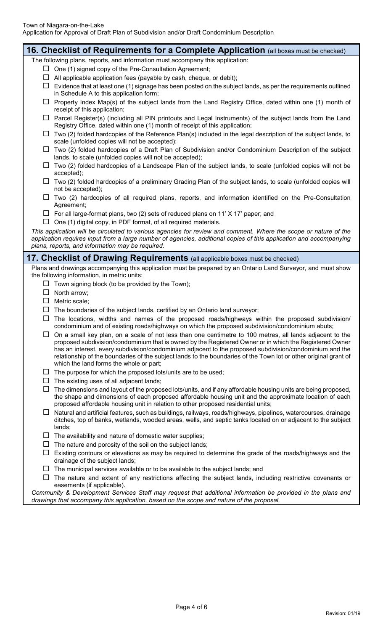| 16. Checklist of Requirements for a Complete Application (all boxes must be checked)                                                                                                                                                                                                                                        |
|-----------------------------------------------------------------------------------------------------------------------------------------------------------------------------------------------------------------------------------------------------------------------------------------------------------------------------|
| The following plans, reports, and information must accompany this application:                                                                                                                                                                                                                                              |
| $\Box$ One (1) signed copy of the Pre-Consultation Agreement;                                                                                                                                                                                                                                                               |
| $\Box$ All applicable application fees (payable by cash, cheque, or debit);                                                                                                                                                                                                                                                 |
| $\Box$ Evidence that at least one (1) signage has been posted on the subject lands, as per the requirements outlined<br>in Schedule A to this application form;                                                                                                                                                             |
| $\Box$ Property Index Map(s) of the subject lands from the Land Registry Office, dated within one (1) month of<br>receipt of this application;                                                                                                                                                                              |
| $\Box$ Parcel Register(s) (including all PIN printouts and Legal Instruments) of the subject lands from the Land<br>Registry Office, dated within one (1) month of receipt of this application;                                                                                                                             |
| $\Box$ Two (2) folded hardcopies of the Reference Plan(s) included in the legal description of the subject lands, to<br>scale (unfolded copies will not be accepted);                                                                                                                                                       |
| $\Box$ Two (2) folded hardcopies of a Draft Plan of Subdivision and/or Condominium Description of the subject<br>lands, to scale (unfolded copies will not be accepted);                                                                                                                                                    |
| $\Box$ Two (2) folded hardcopies of a Landscape Plan of the subject lands, to scale (unfolded copies will not be<br>accepted);                                                                                                                                                                                              |
| $\Box$ Two (2) folded hardcopies of a preliminary Grading Plan of the subject lands, to scale (unfolded copies will<br>not be accepted);                                                                                                                                                                                    |
| $\Box$ Two (2) hardcopies of all required plans, reports, and information identified on the Pre-Consultation<br>Agreement;                                                                                                                                                                                                  |
| $\Box$ For all large-format plans, two (2) sets of reduced plans on 11' X 17' paper; and                                                                                                                                                                                                                                    |
| $\Box$ One (1) digital copy, in PDF format, of all required materials.                                                                                                                                                                                                                                                      |
| This application will be circulated to various agencies for review and comment. Where the scope or nature of the                                                                                                                                                                                                            |
| application requires input from a large number of agencies, additional copies of this application and accompanying<br>plans, reports, and information may be required.                                                                                                                                                      |
| <b>17. Checklist of Drawing Requirements</b> (all applicable boxes must be checked)                                                                                                                                                                                                                                         |
| Plans and drawings accompanying this application must be prepared by an Ontario Land Surveyor, and must show<br>the following information, in metric units:                                                                                                                                                                 |
| $\Box$ Town signing block (to be provided by the Town);                                                                                                                                                                                                                                                                     |
| $\Box$ North arrow;                                                                                                                                                                                                                                                                                                         |
| $\Box$ Metric scale;                                                                                                                                                                                                                                                                                                        |
| $\Box$<br>The boundaries of the subject lands, certified by an Ontario land surveyor;                                                                                                                                                                                                                                       |
| $\Box$ The locations, widths and names of the proposed roads/highways within the proposed subdivision/<br>condominium and of existing roads/highways on which the proposed subdivision/condominium abuts;                                                                                                                   |
| $\Box$ On a small key plan, on a scale of not less than one centimetre to 100 metres, all lands adjacent to the<br>proposed subdivision/condominium that is owned by the Registered Owner or in which the Registered Owner                                                                                                  |
| has an interest, every subdivision/condominium adjacent to the proposed subdivision/condominium and the<br>relationship of the boundaries of the subject lands to the boundaries of the Town lot or other original grant of<br>which the land forms the whole or part;                                                      |
| $\Box$ The purpose for which the proposed lots/units are to be used;                                                                                                                                                                                                                                                        |
| The existing uses of all adjacent lands;<br>Ц                                                                                                                                                                                                                                                                               |
| The dimensions and layout of the proposed lots/units, and if any affordable housing units are being proposed,<br>$\Box$<br>the shape and dimensions of each proposed affordable housing unit and the approximate location of each                                                                                           |
| proposed affordable housing unit in relation to other proposed residential units;<br>$\Box$ Natural and artificial features, such as buildings, railways, roads/highways, pipelines, watercourses, drainage<br>ditches, top of banks, wetlands, wooded areas, wells, and septic tanks located on or adjacent to the subject |
| lands;                                                                                                                                                                                                                                                                                                                      |
| $\Box$ The availability and nature of domestic water supplies;<br>$\Box$ The nature and porosity of the soil on the subject lands;                                                                                                                                                                                          |
| Existing contours or elevations as may be required to determine the grade of the roads/highways and the<br>ப                                                                                                                                                                                                                |
| drainage of the subject lands;<br>$\Box$ The municipal services available or to be available to the subject lands; and                                                                                                                                                                                                      |
| The nature and extent of any restrictions affecting the subject lands, including restrictive covenants or<br>easements (if applicable).                                                                                                                                                                                     |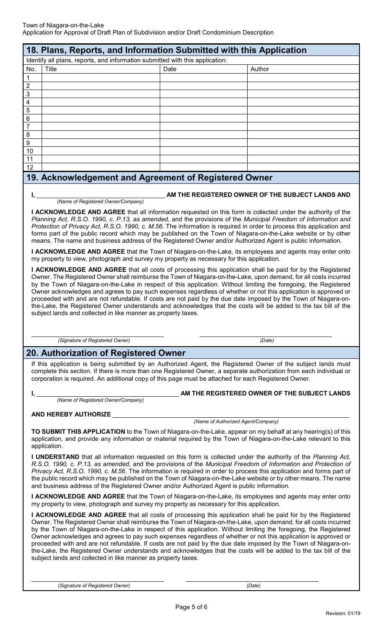| 18. Plans, Reports, and Information Submitted with this Application           |              |      |        |  |
|-------------------------------------------------------------------------------|--------------|------|--------|--|
| Identify all plans, reports, and information submitted with this application: |              |      |        |  |
| No.                                                                           | <b>Title</b> | Date | Author |  |
| 1                                                                             |              |      |        |  |
| $\overline{2}$                                                                |              |      |        |  |
| $\mathbf{3}$                                                                  |              |      |        |  |
| $\overline{4}$                                                                |              |      |        |  |
| $\sqrt{5}$                                                                    |              |      |        |  |
| $6\phantom{.}6$                                                               |              |      |        |  |
| $\overline{7}$                                                                |              |      |        |  |
| $\, 8$                                                                        |              |      |        |  |
| $\boldsymbol{9}$                                                              |              |      |        |  |
| 10                                                                            |              |      |        |  |
| 11                                                                            |              |      |        |  |
| 12                                                                            |              |      |        |  |

### **19. Acknowledgement and Agreement of Registered Owner**

#### **AM THE REGISTERED OWNER OF THE SUBJECT LANDS AND**

 *(Name of Registered Owner/Company)*

**I ACKNOWLEDGE AND AGREE** that all information requested on this form is collected under the authority of the *Planning Act, R.S.O. 1990, c. P.13, as amended*, and the provisions of the *Municipal Freedom of Information and Protection of Privacy Act, R.S.O. 1990, c. M.56*. The information is required in order to process this application and forms part of the public record which may be published on the Town of Niagara-on-the-Lake website or by other means. The name and business address of the Registered Owner and/or Authorized Agent is public information.

**I ACKNOWLEDGE AND AGREE** that the Town of Niagara-on-the-Lake, its employees and agents may enter onto my property to view, photograph and survey my property as necessary for this application.

**I ACKNOWLEDGE AND AGREE** that all costs of processing this application shall be paid for by the Registered Owner. The Registered Owner shall reimburse the Town of Niagara-on-the-Lake, upon demand, for all costs incurred by the Town of Niagara-on-the-Lake in respect of this application. Without limiting the foregoing, the Registered Owner acknowledges and agrees to pay such expenses regardless of whether or not this application is approved or proceeded with and are not refundable. If costs are not paid by the due date imposed by the Town of Niagara-onthe-Lake, the Registered Owner understands and acknowledges that the costs will be added to the tax bill of the subject lands and collected in like manner as property taxes.

\_\_\_\_\_\_\_\_\_\_\_\_\_\_\_\_\_\_\_\_\_\_\_\_\_\_\_\_\_\_\_\_\_\_\_\_\_\_  *(Signature of Registered Owner)*

## **20. Authorization of Registered Owner**

If this application is being submitted by an Authorized Agent, the Registered Owner of the subject lands must complete this section. If there is more than one Registered Owner, a separate authorization from each individual or corporation is required. An additional copy of this page must be attached for each Registered Owner.

 *(Name of Registered Owner/Company)*

#### AM THE REGISTERED OWNER OF THE SUBJECT LANDS

\_\_\_\_\_\_\_\_\_\_\_\_\_\_\_\_\_\_\_\_\_\_\_\_\_\_\_\_\_\_\_\_\_\_\_\_\_\_  *(Date)*

#### **AND HEREBY AUTHORIZE** \_\_\_\_\_\_\_\_\_\_\_\_\_\_\_\_\_\_\_\_\_\_\_\_\_\_\_\_\_\_\_\_\_\_\_\_\_\_\_\_\_\_\_\_\_\_\_\_\_\_\_\_\_\_\_\_\_\_\_\_\_\_\_\_\_\_\_\_

 *(Name of Authorized Agent/Company)*

**TO SUBMIT THIS APPLICATION** to the Town of Niagara-on-the-Lake, appear on my behalf at any hearing(s) of this application, and provide any information or material required by the Town of Niagara-on-the-Lake relevant to this application.

**I UNDERSTAND** that all information requested on this form is collected under the authority of the *Planning Act, R.S.O. 1990, c. P.13, as amended*, and the provisions of the *Municipal Freedom of Information and Protection of Privacy Act, R.S.O. 1990, c. M.56*. The information is required in order to process this application and forms part of the public record which may be published on the Town of Niagara-on-the-Lake website or by other means. The name and business address of the Registered Owner and/or Authorized Agent is public information.

**I ACKNOWLEDGE AND AGREE** that the Town of Niagara-on-the-Lake, its employees and agents may enter onto my property to view, photograph and survey my property as necessary for this application.

**I ACKNOWLEDGE AND AGREE** that all costs of processing this application shall be paid for by the Registered Owner. The Registered Owner shall reimburse the Town of Niagara-on-the-Lake, upon demand, for all costs incurred by the Town of Niagara-on-the-Lake in respect of this application. Without limiting the foregoing, the Registered Owner acknowledges and agrees to pay such expenses regardless of whether or not this application is approved or proceeded with and are not refundable. If costs are not paid by the due date imposed by the Town of Niagara-onthe-Lake, the Registered Owner understands and acknowledges that the costs will be added to the tax bill of the subject lands and collected in like manner as property taxes.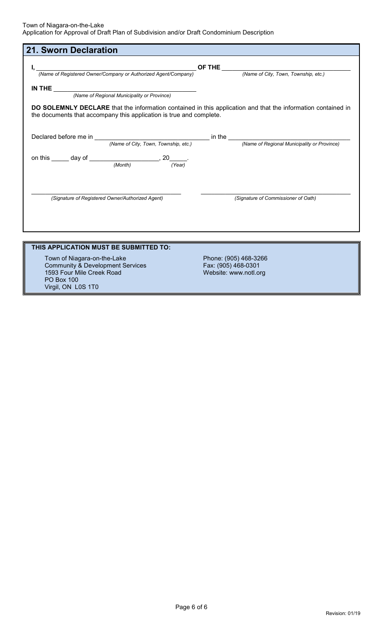1593 Four Mile Creek Road

PO Box 100 Virgil, ON L0S 1T0

| <b>21. Sworn Declaration</b>                                                                                                                                                        |                                              |  |
|-------------------------------------------------------------------------------------------------------------------------------------------------------------------------------------|----------------------------------------------|--|
| (Name of Registered Owner/Company or Authorized Agent/Company)<br>(Name of City, Town, Township, etc.)                                                                              |                                              |  |
|                                                                                                                                                                                     |                                              |  |
| DO SOLEMNLY DECLARE that the information contained in this application and that the information contained in<br>the documents that accompany this application is true and complete. |                                              |  |
|                                                                                                                                                                                     |                                              |  |
| on this $\_\_$ day of $\_\_$ (Month) $\_\_$ , 20 $\_\_$ (Year)                                                                                                                      |                                              |  |
| (Signature of Registered Owner/Authorized Agent)                                                                                                                                    | (Signature of Commissioner of Oath)          |  |
|                                                                                                                                                                                     |                                              |  |
| THIS APPLICATION MUST BE SUBMITTED TO:                                                                                                                                              |                                              |  |
| Town of Niagara-on-the-Lake<br><b>Community &amp; Development Services</b>                                                                                                          | Phone: (905) 468-3266<br>Fax: (905) 468-0301 |  |

Website: www.notl.org

 $\overline{\phantom{a}}$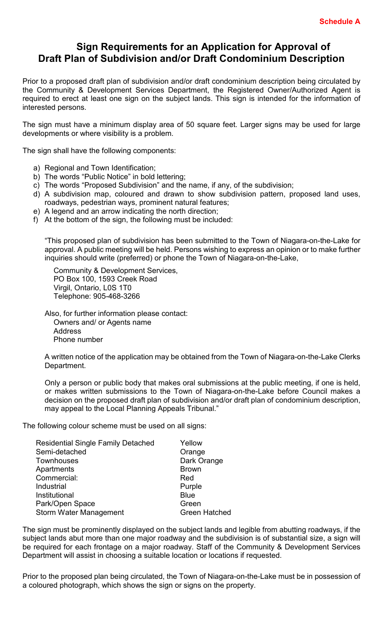## **Sign Requirements for an Application for Approval of Draft Plan of Subdivision and/or Draft Condominium Description**

Prior to a proposed draft plan of subdivision and/or draft condominium description being circulated by the Community & Development Services Department, the Registered Owner/Authorized Agent is required to erect at least one sign on the subject lands. This sign is intended for the information of interested persons.

The sign must have a minimum display area of 50 square feet. Larger signs may be used for large developments or where visibility is a problem.

The sign shall have the following components:

- a) Regional and Town Identification;
- b) The words "Public Notice" in bold lettering;
- c) The words "Proposed Subdivision" and the name, if any, of the subdivision;
- d) A subdivision map, coloured and drawn to show subdivision pattern, proposed land uses, roadways, pedestrian ways, prominent natural features;
- e) A legend and an arrow indicating the north direction;
- f) At the bottom of the sign, the following must be included:

"This proposed plan of subdivision has been submitted to the Town of Niagara-on-the-Lake for approval. A public meeting will be held. Persons wishing to express an opinion or to make further inquiries should write (preferred) or phone the Town of Niagara-on-the-Lake,

Community & Development Services, PO Box 100, 1593 Creek Road Virgil, Ontario, L0S 1T0 Telephone: 905-468-3266

Also, for further information please contact: Owners and/ or Agents name **Address** Phone number

A written notice of the application may be obtained from the Town of Niagara-on-the-Lake Clerks Department.

Only a person or public body that makes oral submissions at the public meeting, if one is held, or makes written submissions to the Town of Niagara-on-the-Lake before Council makes a decision on the proposed draft plan of subdivision and/or draft plan of condominium description, may appeal to the Local Planning Appeals Tribunal."

The following colour scheme must be used on all signs:

| <b>Residential Single Family Detached</b> | Yellow               |
|-------------------------------------------|----------------------|
| Semi-detached                             | Orange               |
| <b>Townhouses</b>                         | Dark Orange          |
| Apartments                                | <b>Brown</b>         |
| Commercial:                               | Red                  |
| Industrial                                | Purple               |
| Institutional                             | <b>Blue</b>          |
| Park/Open Space                           | Green                |
| <b>Storm Water Management</b>             | <b>Green Hatched</b> |
|                                           |                      |

The sign must be prominently displayed on the subject lands and legible from abutting roadways, if the subject lands abut more than one major roadway and the subdivision is of substantial size, a sign will be required for each frontage on a major roadway. Staff of the Community & Development Services Department will assist in choosing a suitable location or locations if requested.

Prior to the proposed plan being circulated, the Town of Niagara-on-the-Lake must be in possession of a coloured photograph, which shows the sign or signs on the property.